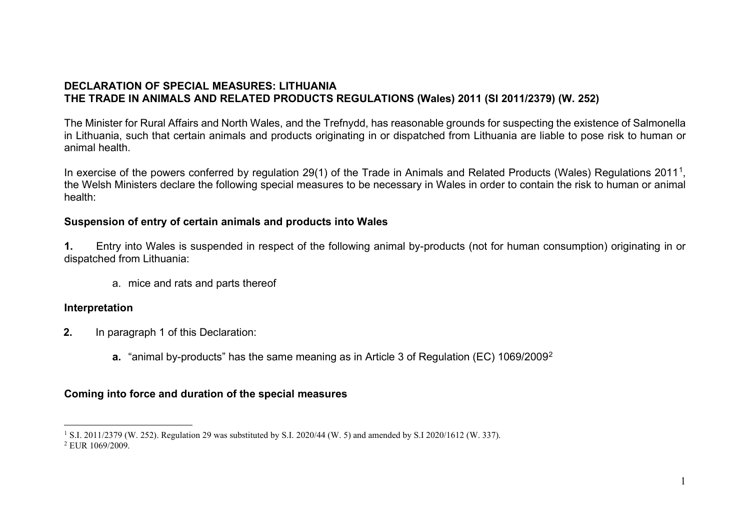## <span id="page-0-1"></span><span id="page-0-0"></span>**DECLARATION OF SPECIAL MEASURES: LITHUANIA THE TRADE IN ANIMALS AND RELATED PRODUCTS REGULATIONS (Wales) 2011 (SI 2011/2379) (W. 252)**

The Minister for Rural Affairs and North Wales, and the Trefnydd, has reasonable grounds for suspecting the existence of Salmonella in Lithuania, such that certain animals and products originating in or dispatched from Lithuania are liable to pose risk to human or animal health.

In exercise of the powers conferred by regulation 29([1](#page-0-0)) of the Trade in Animals and Related Products (Wales) Regulations 2011<sup>1</sup>, the Welsh Ministers declare the following special measures to be necessary in Wales in order to contain the risk to human or animal health:

## **Suspension of entry of certain animals and products into Wales**

**1.** Entry into Wales is suspended in respect of the following animal by-products (not for human consumption) originating in or dispatched from Lithuania:

a. mice and rats and parts thereof

## **Interpretation**

- **2.** In paragraph 1 of this Declaration:
	- **a.** "animal by-products" has the same meaning as in Article 3 of Regulation (EC) 1069/2009[2](#page-0-1)

## **Coming into force and duration of the special measures**

<sup>1</sup> S.I. 2011/2379 (W. 252). Regulation 29 was substituted by S.I. 2020/44 (W. 5) and amended by S.I 2020/1612 (W. 337). <sup>2</sup> EUR 1069/2009.